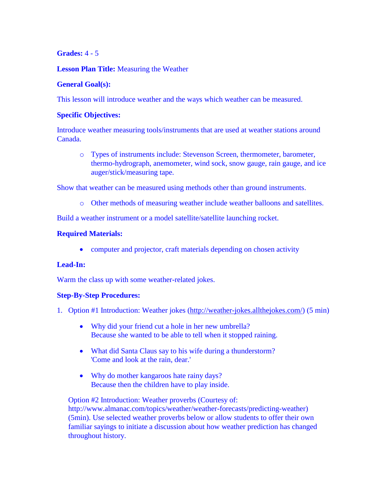## **Grades:** 4 - 5

## **Lesson Plan Title:** Measuring the Weather

### **General Goal(s):**

This lesson will introduce weather and the ways which weather can be measured.

### **Specific Objectives:**

Introduce weather measuring tools/instruments that are used at weather stations around Canada.

o Types of instruments include: Stevenson Screen, thermometer, barometer, thermo-hydrograph, anemometer, wind sock, snow gauge, rain gauge, and ice auger/stick/measuring tape.

Show that weather can be measured using methods other than ground instruments.

o Other methods of measuring weather include weather balloons and satellites.

Build a weather instrument or a model satellite/satellite launching rocket.

## **Required Materials:**

• computer and projector, craft materials depending on chosen activity

# **Lead-In:**

Warm the class up with some weather-related jokes.

#### **Step-By-Step Procedures:**

- 1. Option #1 Introduction: Weather jokes [\(http://weather-jokes.allthejokes.com/\)](http://weather-jokes.allthejokes.com/) (5 min)
	- Why did your friend cut a hole in her new umbrella? Because she wanted to be able to tell when it stopped raining.
	- What did Santa Claus say to his wife during a thunderstorm? 'Come and look at the rain, dear.'
	- Why do mother kangaroos hate rainy days? Because then the children have to play inside.

Option #2 Introduction: Weather proverbs (Courtesy of: http://www.almanac.com/topics/weather/weather-forecasts/predicting-weather) (5min). Use selected weather proverbs below or allow students to offer their own familiar sayings to initiate a discussion about how weather prediction has changed throughout history.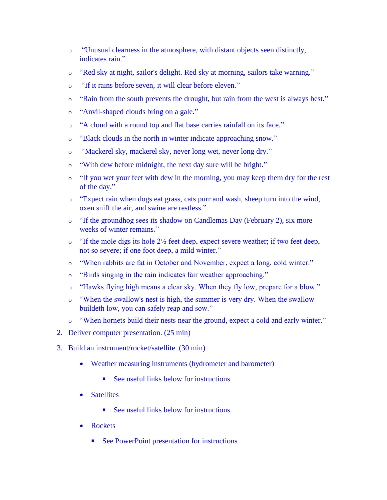- o "Unusual clearness in the atmosphere, with distant objects seen distinctly, indicates rain."
- o "Red sky at night, sailor's delight. Red sky at morning, sailors take warning."
- o "If it rains before seven, it will clear before eleven."
- o "Rain from the south prevents the drought, but rain from the west is always best."
- o "Anvil-shaped clouds bring on a gale."
- o "A cloud with a round top and flat base carries rainfall on its face."
- o "Black clouds in the north in winter indicate approaching snow."
- o "Mackerel sky, mackerel sky, never long wet, never long dry."
- o "With dew before midnight, the next day sure will be bright."
- $\circ$  "If you wet your feet with dew in the morning, you may keep them dry for the rest of the day."
- o "Expect rain when dogs eat grass, cats purr and wash, sheep turn into the wind, oxen sniff the air, and swine are restless."
- o "If the groundhog sees its shadow on Candlemas Day (February 2), six more weeks of winter remains."
- $\circ$  "If the mole digs its hole 2 $\frac{1}{2}$  feet deep, expect severe weather; if two feet deep, not so severe; if one foot deep, a mild winter."
- o "When rabbits are fat in October and November, expect a long, cold winter."
- o "Birds singing in the rain indicates fair weather approaching."
- o "Hawks flying high means a clear sky. When they fly low, prepare for a blow."
- o "When the swallow's nest is high, the summer is very dry. When the swallow buildeth low, you can safely reap and sow."
- o "When hornets build their nests near the ground, expect a cold and early winter."
- 2. Deliver computer presentation. (25 min)
- 3. Build an instrument/rocket/satellite. (30 min)
	- Weather measuring instruments (hydrometer and barometer)
		- See useful links below for instructions.
	- Satellites
		- See useful links below for instructions.
	- Rockets
		- See PowerPoint presentation for instructions